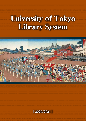# University of Tokyo Library System



**[ 2020/2021 ]**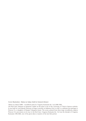Cover illustration : Matsu no Sakae (held in General Library)

"Matsu no Sakae"(1889) – woodblock print by Utagawa Kunisada the 3 rd (1848-1920).

The Red Gate (Akamon in Japanese) visible on the print is one of the University of Tokyo's famous symbols. It was built by Lord Maeda Nariyasu of Kaga (currently in Ishikawa Pref.) in 1827, to celebrate his marriage to Princess Yo, a daughter of Shogun Tokugawa Ienari. The scene, printed from three large woodblocks, depicts Princess Yo's procession on its way to the Red Gate. Utagawa Kunisada the 3 rd was the disciple of Utagawa Kunisada (1786-1864), one of the great ukiyo-e masters of the late Edo period.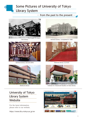## Some Pictures of University of Tokyo

### Library System

#### from the past to the present  $-$



Old Library



General Library (around 2010)



Medical Library



General Library (completed in 1928)



General Library (current)



Institute for Advanced Studies on Asia Library

## University of Tokyo Library System **Website**

For the latest information, please refer to our website.

https://www.lib.u-tokyo.ac.jp/en

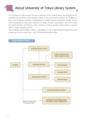## About University of Tokyo Library System

The University of Tokyo Library System is composed of the General Library, the Komaba Library (combines the functions of the Graduate School of Arts and Sciences Library), the Kashiwa Library, and 27 libraries attached to departments or related research institutions. Despite the distances separating the three main campuses of Hongo, Komaba and Kashiwa, and several other off-campus facilities, the libraries of the University of Tokyo provide a large variety of services within a single, integrated system.

Their holdings total 9.8 million volumes – expanding at a rate of approximately hundred thousand volumes per year in recent years – and 170 thousand periodical titles.

Organization Chart

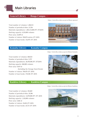

#### **General Library** ─ **Hongo Campus** ─

Total number of volumes: 1,308,515 Number of periodical titles: 21,536 Materials expenditures: 1,483,115,000 JPY (FY2019) Shelving capacity: 4,333,000 volumes Floor area: 23,849 ㎡ Number of visitors: 550,874 entries (FY 2019) Number of loan books: 152,975 (FY 2019)





#### **Komaba Library** ─ **Komaba Campus** ─

https://www.lib.u-tokyo.ac.jp/en/library/komaba

Total number of volumes: 688,033 Number of periodical titles: 5,757 Materials expenditures: 28,470,040 JPY (FY2019) Shelving capacity: 860,000 volumes Floor area: 9,819 ㎡ (Including the Storage Stack Room) Number of visitors: 706,078 (FY 2019) Number of loan books: 178,548 (FY 2019)



#### **Kashiwa Library** ─ **Kashiwa Campus** ─

https://www.lib.u-tokyo.ac.jp/en/library/kashiwa

Total number of volumes: 453,869 Number of periodical titles: 24,386 Materials expenditures: 12,070,000 JPY (FY 2019) Shelving capacity: 1,102,000 volumes Floor area: 5,666 ㎡ Number of visitors: 33,694 (FY 2019) Number of loan books: 25,715 (FY 2019)

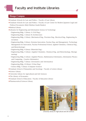#### **Hongo Campus**

- ⃝Graduate Schools for Law and Politics / Faculty of Law Library
- ⃝Graduate Schools for Law and Politics / Faculty of Law Center for Modern Japanese Legal and Political Documents (Meiji Shinbun Zasshi Bunko))
- $\bullet$  Medical Library
- ⃝Libraries for Engineering and Information Science & Technology
	- ・Engineering Bldg. 1 Library A (Civil Eng.)
	- ・Engineering Bldg. 1 Library B (Architecture)
	- ・Engineering Bldg. 2 Library (Mechanical Eng., Precision Eng., Electrical Eng., Engineering Innovation)
	- ・Engineering Bldg. 3 Library (Systems Innovation, Nuclear Eng. and Management, Technology Management for Innovation, Nuclear Professional School, Applied Chemistry, Chemical Eng., and Biotechnology)
	- ・Engineering Bldg. 4 Library (Materials Eng.)
	- ・Engineering Bldg. 5 Library (Applied Chemistry, Chemical Eng. and Biotechnology, Bioengineering)
	- ・Engineering Bldg. 6 Library (Applied Physics, Mathematical Informatics, Information Physics and Computing , Creative Informatics)
	- ・Engineering Bldg. 7 Library (Aeronautics and Astronautics)
	- ・Engineering Bldg. 14 Library (Urban Eng.)
	- ・Science Bldg. 7 Library (Computer Science)
- ⃝Graduate School of Humanities and Sociology / Faculty of Letters Library
- ⃝Science Library
- ⃝University Library for Agricultural and Life Sciences
- The Library of Economics
- ⃝Graduate School of Education / Faculty of Education Library
- ⃝Pharmaceutical Sciences Library



University Library for Agricultural and Life Sciences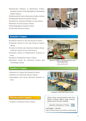- ⃝Interfaculty Initiative in Information Studies, Graduate School of Interdisciplinary Information Studies Library
- ⃝Multi-media & Socio-information Studies Archive
- ⃝Earthquake Research Institute Library
- ⃝Institute for Advanced Studies on Asia Library
- ⃝Institute of Social Science Library
- ⃝Historiographical Institute Library
- ⃝University Museum Library



Medical Library

#### **Komaba Campus**

- ⃝Graduate School of Arts and Sciences Library
- ⃝Graduate School of Arts and Sciences, Science Library
- ⃝Center for Pacific and American Studies Library, Graduate School of Arts and Sciences
- ⃝Graduate School of Mathematical Sciences Library
- ⃝Institute of Industrial Science Library
- ⃝Research Center for Advanced Science and Technology Library



Research Center for Advanced Science and Technology Library (Photo by KOJI UDO)

#### **Kashiwa Campus**

- ⃝Institute for Cosmic Ray Research Library
- ⃝Institute for Solid State Physics Library
- ⃝Atmosphere and Ocean Research Institute Library



Institute for Solid State Physics Library

#### **Shirokanedai Campus**

⃝Institute of Medical Science Library

Library hours and procedures vary from library to library. Before using a library, please check the each website.

Libraries University of Tokyo

Homepage > Libraries https://www.lib.u-tokyo.ac.jp/en/library/contents/guide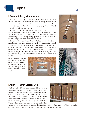#### **General Library Grand Open**

The University of Tokyo Library System has formulated the "New Library Plan" and has renovated the main building of the General Library and built a new annex to form a center for learning, education, and research. All construction work was completed in 2020 and the building had its grand opening.

The interior of the main building were partially restored to the original design of its founding. In addition, the Asian Research Library was opened on the fourth floor. The stacks are equipped with airconditioning and fire extinguishing systems to provide an environment for the preservation of valuable materials.

In the annex, there is a library plaza on the basement level and automated storage that have capacity of 3 million volumes on the second to fourth floors. Library Plaza opened in October 2018 as an active, conversational learning space, with a variety of activities, including events planned by the library and various seminars and other academic exchanges. The automated storage began receiving materials in February 2018, as of September 2020, there are approximately



520,000 volumes. It serves as a repository for an ever-increasing number of library materials on a daily basis, and that can be used to quickly retrieve materials when needed.





#### **Asian Research Library OPEN**

On October 1, 2020, the Asian Research Library opened in the General Library. The library specializes in supporting research on Asia and other regions by consolidating a large number of Asia-related research materials that had been scattered throughout the university. More than 50,000 books are available on the 4th floor of the main building. In addition to Japanese and other Western languages, materials in various Asian lan-



guages are arranged under a unique classification (region  $\rightarrow$  language  $\rightarrow$  subject). It is also equipped with a seminar room where seminars and workshops can be held.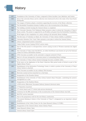| 1877 | Foundation of the University of Tokyo, composed of three faculties: Law, Medicine, and Letters.                                                                                                             |  |  |  |
|------|-------------------------------------------------------------------------------------------------------------------------------------------------------------------------------------------------------------|--|--|--|
| 1923 | Most of the university library and its collection were destroyed by fire in the wake of the Great Kanto<br>Earthquake.                                                                                      |  |  |  |
|      | The League of Nations adopts a resolution supporting the recovery of the library collection.                                                                                                                |  |  |  |
| 1924 | The Rockefeller Foundation donates 4 million yen to the reconstruction of the library.                                                                                                                      |  |  |  |
| 1928 | The building currently housing the General Library is completed.                                                                                                                                            |  |  |  |
| 1961 | The University Librarian, Prof. Kishimoto Hideo presents a plan to reform the University of Tokyo's<br>library system. The project is supported by an 84 million yen grant from the Rockefeller Foundation. |  |  |  |
|      | Work begins on the compilation of a union catalog of all university library holdings.                                                                                                                       |  |  |  |
| 1962 | The first issue of Toshokan no Mado, the University of Tokyo Library bulletin, is published.                                                                                                                |  |  |  |
| 1982 | University Librarian, Prof. Urata Takeo presents a new plan to reform the General Library.                                                                                                                  |  |  |  |
| 1986 | Library computerized system is launched.                                                                                                                                                                    |  |  |  |
|      | Online Public Access Catalog (OPAC) service starts.                                                                                                                                                         |  |  |  |
| 1987 | Start of the first project to retrospectively convert catalog records of Western materials into digital<br>format.                                                                                          |  |  |  |
| 1992 | The University of Tokyo joins NACSIS-ILL, an online Interlibrary Loan System set up by the National<br>Center for Science Information Systems.                                                              |  |  |  |
| 1993 | OPAC becomes accessible via the university's computer network (UTnet).                                                                                                                                      |  |  |  |
| 1995 | Start of a 10-year retrospective conversion project of outstanding library holdings.                                                                                                                        |  |  |  |
|      | The University of Tokyo Library System homepage becomes available online.                                                                                                                                   |  |  |  |
| 1997 | Work starts on the digitization of the Katei Collection (Edo period works of fiction) as part of the<br>Digital Library Project.                                                                            |  |  |  |
| 1999 | Establishment of the Information Technology Center, to which a portion of the University of Tokyo<br>Library System is attached.                                                                            |  |  |  |
|      | OPAC becomes accessible via any ordinary Web browser.                                                                                                                                                       |  |  |  |
| 2000 | Electronic journal services launched on a trial basis.                                                                                                                                                      |  |  |  |
| 2002 | Inauguration of the Komaba Library.                                                                                                                                                                         |  |  |  |
| 2004 | Establishment of the University of Tokyo Library System's Basic Principles, underlining the system's<br>management as a unit.                                                                               |  |  |  |
| 2005 | Inauguration of the Kashiwa library.                                                                                                                                                                        |  |  |  |
|      | e-DDS service (Electronic Document Delivery System & Services) starts.                                                                                                                                      |  |  |  |
| 2006 | UT Repository launched.                                                                                                                                                                                     |  |  |  |
| 2007 | UT Article Search and UT Article Link services introduced.                                                                                                                                                  |  |  |  |
| 2008 | Ceremony for the 80th anniversary of the reconstruction of the General Library was held.                                                                                                                    |  |  |  |
| 2011 | MyOPAC service launched.                                                                                                                                                                                    |  |  |  |
| 2013 | Start of the preparatory work for the new library construction.                                                                                                                                             |  |  |  |
|      | "Documents Relating to history of the University of Tokyo" is designated as an important cultural<br>property.                                                                                              |  |  |  |
| 2014 | Establishment of the Uehiro Project for the Asian Research Library (U-PARL).                                                                                                                                |  |  |  |
| 2017 | Inauguration of the General Library Annex (Library Plaza).                                                                                                                                                  |  |  |  |
| 2020 | Asian Research Library Open                                                                                                                                                                                 |  |  |  |
|      | General Library Grand Open                                                                                                                                                                                  |  |  |  |

r T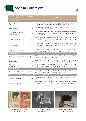

# Special Collections

| name                                                                                       | number<br>of items | summary                                                                                                                                                            |  |  |  |
|--------------------------------------------------------------------------------------------|--------------------|--------------------------------------------------------------------------------------------------------------------------------------------------------------------|--|--|--|
| <b>General Library</b>                                                                     |                    |                                                                                                                                                                    |  |  |  |
| Ogai Collection                                                                            | 18,800             | Works of history and literature, biographies, Edo-period maps,<br>Western books collected by Japanese writer Mori Ogai (1862-1922).                                |  |  |  |
| Katei Collection                                                                           | 1,851              | Edo-period novels and theater plays collected by Japanese writer<br>Watanabe Katei (1864-1926).                                                                    |  |  |  |
| Shachiku, Chikurei and<br>Chiju Collections                                                | 6,577              | Collections of Renga and Haikai poems collected by the haiku poets<br>Ono Shachiku (1872-1913), Tsunoda Chikurei (1857-1919) and Okano<br>Chiju (1860-1932).       |  |  |  |
| Seishu Collection                                                                          | 25,000             | Classic works of Chinese and Japanese literature collected over three<br>generations by the Watanabe family, from Japan's Koshu region<br>(Yamanashi Pref.).       |  |  |  |
| Nanki Collection                                                                           | 96,000             | Owned by the Tokugawa family of Kishu (Wakayama Pref.), the<br>Nanki collection incorporates a number of private book collections<br>of the Edo period.            |  |  |  |
| Tanaka Yoshio Collection                                                                   | 6,000              | Works on natural history (botany, zoology, agriculture and forestry)<br>and exhibitions collected by Tanaka Yoshio (1838-1916).                                    |  |  |  |
| Komaba Library                                                                             |                    |                                                                                                                                                                    |  |  |  |
| Kano Kokichi Collection                                                                    | ca. 20,000         | Private journal and correspondence of Kano Kokichi (1865-1942),<br>principal of the Dai-ichi Koto-gakko.                                                           |  |  |  |
| Kitani Collection                                                                          | 157                | Materials on joruri from the late Edo period to the Meiji period<br>collected by joruri and drama specialist Kitani Hogin (1877-1950).                             |  |  |  |
| Dai Nihon Kaishi<br>Collection                                                             | 820                | Materials on navy and shipbuilding from the late Edo to the Meiji<br>period, collected by Department of the Navy in Japan.                                         |  |  |  |
| Kashiwa Library                                                                            |                    |                                                                                                                                                                    |  |  |  |
| Yuzuru Hiraga Collection                                                                   | ca.40,000          | Historical documents left by the 13th President of the University of<br>Tokyo and Vice Admiral Yuzuru Hiraga (1878-1943).                                          |  |  |  |
| Graduate Schools for Law and Politics / Faculty of Law Library, Meiji Shinbun Zasshi Bunko |                    |                                                                                                                                                                    |  |  |  |
| <b>Yoshino Collection</b>                                                                  | 8,716              | Books and printings in Meiji era collected by Yoshino Sakuzo (1878-<br>$1933$ ).                                                                                   |  |  |  |
| Gaikotsu Collection                                                                        | ca.800             | Newspapers, magazines, picture postcards collected by Miyatake<br>Gaikotsu (1867-1955), initiator of the faculty's Meiji Collection of<br>Newspapers and Journals. |  |  |  |



Tanaka Yoshio Collection (General Library)







Adam Smith Collection (The Library of Economics)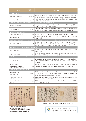| name                                                                                                             | number<br>of items | summary                                                                                                                                                                                             |  |  |  |  |
|------------------------------------------------------------------------------------------------------------------|--------------------|-----------------------------------------------------------------------------------------------------------------------------------------------------------------------------------------------------|--|--|--|--|
| <b>Medical Library</b>                                                                                           |                    |                                                                                                                                                                                                     |  |  |  |  |
| Waldeyer Collection                                                                                              | ca. 2,000          | Collection of German anatomist Wilhelm von Waldeyer-Hartz (1836-<br>1921). Books and materials on anatomy, zoology and anthropology.                                                                |  |  |  |  |
| Kure Shuzo Collection                                                                                            | ca.190             | Collection of psychiatrist, Prof. Kure Shuzo (1865-1932). Manuscripts<br>on history of medicine.                                                                                                    |  |  |  |  |
| Graduate School of Humanities and Sociology / Faculty of Letters Library                                         |                    |                                                                                                                                                                                                     |  |  |  |  |
| Motoori Collection                                                                                               | 3,534              | Autograph manuscripts and other works by Motoori Norinaga (1730-<br>1801), his descendants and disciples.                                                                                           |  |  |  |  |
| Ichikawa Collection                                                                                              | ca.1,200           | 19th and early 20th century English-language literature and materials<br>on linguistics collected by Professor Ichikawa Sanki (1886-1970).                                                          |  |  |  |  |
| The Library of Economics                                                                                         |                    |                                                                                                                                                                                                     |  |  |  |  |
| Adam Smith Collection                                                                                            | 319                | Private collection of British economist Adam Smith (1723-1790).                                                                                                                                     |  |  |  |  |
| <b>Engel Collection</b>                                                                                          | 1,219              | Private collection of German statistician and economist Ernst Engel<br>$(1821 - 1896)$ .                                                                                                            |  |  |  |  |
| Interfaculty Initiative in Information Studies, Graduate School of Interdisciplinary Information Studies Library |                    |                                                                                                                                                                                                     |  |  |  |  |
| Ono Hideo Collection                                                                                             | 1,144              | Materials related to the history of news media in Japan collected by<br>Professor Ono Hideo (1885-1977), founder of the University of Tokyo's<br>Institute of Journalism and Communication Studies. |  |  |  |  |
| Institute for Advanced Studies on Asia Library                                                                   |                    |                                                                                                                                                                                                     |  |  |  |  |
| Ooki Collection                                                                                                  | 3,168              | Materials on Chinese law collected in Beijing by lawyer Ooki Kan'ichi<br>$(1881 - 1958)$ .                                                                                                          |  |  |  |  |
| Daiber Collection                                                                                                | 487                | Manuscripts and materials on Islamic culture collected by Professor<br>Hans Daiber (Vrije Universiteit, Amsterdam).                                                                                 |  |  |  |  |
| Institute of Social Science Library                                                                              |                    |                                                                                                                                                                                                     |  |  |  |  |
| Itoi Collection                                                                                                  | 10,500             | Documents on the state of Japan's labor collected by Itoi Kinji (1895-<br>1959), who headed the Tokyo Employment Office (Tokyo Shokugyo<br>Shokaijo).                                               |  |  |  |  |
| Records of the<br>International Military<br>Tribunal for the Far East                                            | 454                | Court documents and other records of the International Military<br>Tribunal for the Far East held in Tokyo between 1946 and 1948.                                                                   |  |  |  |  |
| Historiographical Institute Library                                                                              |                    |                                                                                                                                                                                                     |  |  |  |  |
| Documents of the<br>Shimazu Family                                                                               | ca.9,500           | Historical documents from the 12th to 19th centuries transmitted<br>among generations of the Shimazu family of Satsuma (Kagoshima<br>Pref.). Designated as a national treasure.                     |  |  |  |  |
| Documents of the So<br>Family                                                                                    | ca. 3,000          | Historical documents from the archives of the Edo mansion of the<br>Tsushima clan (Nagasaki Pref.).                                                                                                 |  |  |  |  |
| Documents of the Uramatsu<br>Family                                                                              | ca. 940            | Historical documents related to a court noble Kozen Uramatsu (1736-<br>1804) of late Edo period.                                                                                                    |  |  |  |  |



Rekidai Kikan Minamoto no Yoritomo Kudashibumi from Documents of the Shimazu Family (Historiographical Institute Library)



Gaikotsu Collection (Meiji Shinbun Zasshi Bunko)



UTokyo Academic Archives Portal **https://da.dl.itc.u-tokyo.ac.jp/portal/en**